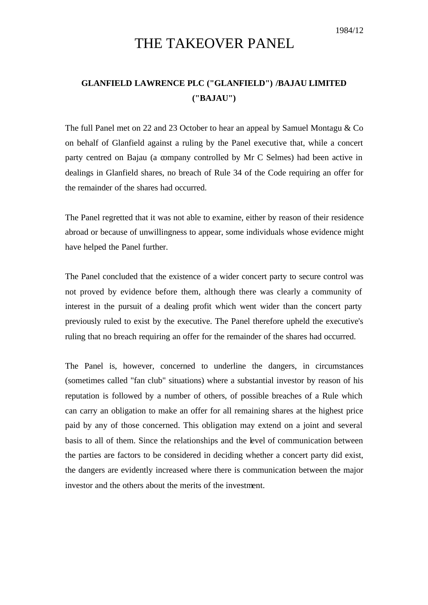## THE TAKEOVER PANEL

## **GLANFIELD LAWRENCE PLC ("GLANFIELD") /BAJAU LIMITED ("BAJAU")**

The full Panel met on 22 and 23 October to hear an appeal by Samuel Montagu & Co on behalf of Glanfield against a ruling by the Panel executive that, while a concert party centred on Bajau (a company controlled by Mr C Selmes) had been active in dealings in Glanfield shares, no breach of Rule 34 of the Code requiring an offer for the remainder of the shares had occurred.

The Panel regretted that it was not able to examine, either by reason of their residence abroad or because of unwillingness to appear, some individuals whose evidence might have helped the Panel further.

The Panel concluded that the existence of a wider concert party to secure control was not proved by evidence before them, although there was clearly a community of interest in the pursuit of a dealing profit which went wider than the concert party previously ruled to exist by the executive. The Panel therefore upheld the executive's ruling that no breach requiring an offer for the remainder of the shares had occurred.

The Panel is, however, concerned to underline the dangers, in circumstances (sometimes called "fan club" situations) where a substantial investor by reason of his reputation is followed by a number of others, of possible breaches of a Rule which can carry an obligation to make an offer for all remaining shares at the highest price paid by any of those concerned. This obligation may extend on a joint and several basis to all of them. Since the relationships and the level of communication between the parties are factors to be considered in deciding whether a concert party did exist, the dangers are evidently increased where there is communication between the major investor and the others about the merits of the investment.